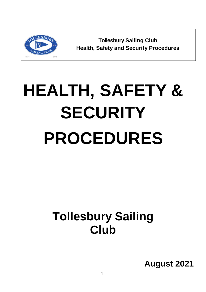

**Tollesbury Sailing Club Health, Safety and Security Procedures**

# **HEALTH, SAFETY & SECURITY PROCEDURES**

# **Tollesbury Sailing Club**

**August 2021**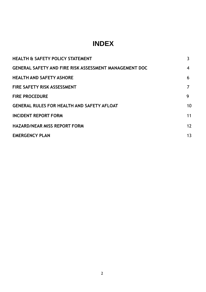### **INDEX**

| <b>HEALTH &amp; SAFETY POLICY STATEMENT</b>                   | 3              |
|---------------------------------------------------------------|----------------|
| <b>GENERAL SAFETY AND FIRE RISK ASSESSMENT MANAGEMENT DOC</b> | 4              |
| <b>HEALTH AND SAFETY ASHORE</b>                               | 6              |
| <b>FIRE SAFETY RISK ASSESSMENT</b>                            | 7              |
| <b>FIRE PROCEDURE</b>                                         | 9              |
| <b>GENERAL RULES FOR HEALTH AND SAFETY AFLOAT</b>             | 10             |
| <b>INCIDENT REPORT FORM</b>                                   | 11             |
| <b>HAZARD/NEAR MISS REPORT FORM</b>                           | 12             |
| <b>EMERGENCY PLAN</b>                                         | 1 <sub>3</sub> |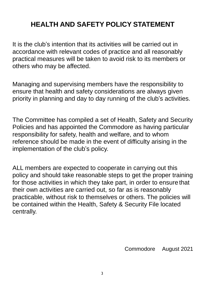## **HEALTH AND SAFETY POLICY STATEMENT**

It is the club's intention that its activities will be carried out in accordance with relevant codes of practice and all reasonably practical measures will be taken to avoid risk to its members or others who may be affected.

Managing and supervising members have the responsibility to ensure that health and safety considerations are always given priority in planning and day to day running of the club's activities.

The Committee has compiled a set of Health, Safety and Security Policies and has appointed the Commodore as having particular responsibility for safety, health and welfare, and to whom reference should be made in the event of difficulty arising in the implementation of the club's policy.

ALL members are expected to cooperate in carrying out this policy and should take reasonable steps to get the proper training for those activities in which they take part, in order to ensure that their own activities are carried out, so far as is reasonably practicable, without risk to themselves or others. The policies will be contained within the Health, Safety & Security File located centrally.

Commodore August 2021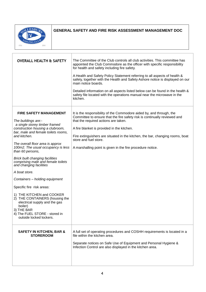

#### **GENERAL SAFETY AND FIRE RISK ASSESSMENT MANAGEMENT DOC**

| <b>OVERALL HEALTH &amp; SAFETY</b>                                                                                                                                                                                                                                                                                                                                                                                                                                                                                                                                                                                                                             | The Committee of the Club controls all club activities. This committee has<br>appointed the Club Commodore as the officer with specific responsibility<br>for health and safety including fire safety.<br>A Health and Safety Policy Statement referring to all aspects of health &<br>safety, together with the Health and Safety Ashore notice is displayed on our<br>main notice boards.<br>Detailed information on all aspects listed below can be found in the health &<br>safety file located with the operations manual near the microwave in the<br>kitchen. |
|----------------------------------------------------------------------------------------------------------------------------------------------------------------------------------------------------------------------------------------------------------------------------------------------------------------------------------------------------------------------------------------------------------------------------------------------------------------------------------------------------------------------------------------------------------------------------------------------------------------------------------------------------------------|----------------------------------------------------------------------------------------------------------------------------------------------------------------------------------------------------------------------------------------------------------------------------------------------------------------------------------------------------------------------------------------------------------------------------------------------------------------------------------------------------------------------------------------------------------------------|
| <b>FIRE SAFETY MANAGEMENT</b><br>The buildings are:-<br>a single storey timber framed<br>construction housing a clubroom,<br>bar, male and female toilets rooms,<br>and kitchen.<br>The overall floor area is approx<br>100m2. The usual occupancy is less<br>than 60 persons,<br><b>Brick built changing facilities</b><br>comprising male and female toilets<br>and changing facilities<br>A boat store.<br>Containers - holding equipment<br>Specific fire risk areas:<br>1) THE KITCHEN and COOKER<br>2) THE CONTAINERS (housing the<br>electrical supply and the gas<br>boiler)<br>3) THE BAR<br>4) The FUEL STORE - stored in<br>outside locked lockers. | It is the responsibility of the Commodore aided by, and through, the<br>Committee to ensure that the fire safety risk is continually reviewed and<br>that the required actions are taken.<br>A fire blanket is provided in the kitchen.<br>Fire extinguishers are situated in the kitchen, the bar, changing rooms, boat<br>store and fuel store.<br>A marshalling point is given in the fire procedure notice.                                                                                                                                                      |
| <b>SAFETY IN KITCHEN, BAR &amp;</b><br><b>STOREROOM</b>                                                                                                                                                                                                                                                                                                                                                                                                                                                                                                                                                                                                        | A full set of operating procedures and COSHH requirements is located in a<br>file within the kitchen area.<br>Separate notices on Safe Use of Equipment and Personal Hygiene &<br>Infection Control are also displayed in the kitchen area.                                                                                                                                                                                                                                                                                                                          |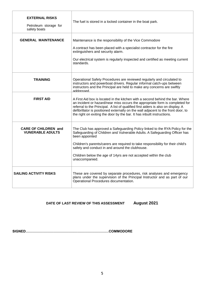| <b>EXTERNAL RISKS</b><br>Petroleum storage for<br>safety boats | The fuel is stored in a locked container in the boat park.                                                                                                                                                                                                                                                                                                                                                        |
|----------------------------------------------------------------|-------------------------------------------------------------------------------------------------------------------------------------------------------------------------------------------------------------------------------------------------------------------------------------------------------------------------------------------------------------------------------------------------------------------|
| <b>GENERAL MAINTENANCE</b>                                     | Maintenance is the responsibility of the Vice Commodore<br>A contract has been placed with a specialist contractor for the fire<br>extinguishers and security alarm.<br>Our electrical system is regularly inspected and certified as meeting current<br>standards.                                                                                                                                               |
| <b>TRAINING</b>                                                | Operational Safety Procedures are reviewed regularly and circulated to<br>instructors and powerboat drivers. Regular informal catch-ups between<br>instructors and the Principal are held to make any concerns are swiftly<br>addressed                                                                                                                                                                           |
| <b>FIRST AID</b>                                               | A First Aid box is located in the kitchen with a second behind the bar. Where<br>an incident or hazard/near miss occurs the appropriate form is completed for<br>referral to the Principal. A list of qualified first aiders is also on display. A<br>defibrillator is positioned externally on the wall adjacent to the front door, to<br>the right on exiting the door by the bar. It has inbuilt instructions. |
| <b>CARE OF CHILDREN and</b><br><b>VUNERABLE ADULTS</b>         | The Club has approved a Safeguarding Policy linked to the RYA Policy for the<br>Safeguarding of Children and Vulnerable Adults. A Safeguarding Officer has<br>been appointed<br>Children's parents/carers are required to take responsibility for their child's<br>safety and conduct in and around the clubhouse.<br>Children below the age of 14yrs are not accepted within the club<br>unaccompanied.          |
| <b>SAILING ACTIVITY RISKS</b>                                  | These are covered by separate procedures, risk analyses and emergency<br>plans under the supervision of the Principal Instructor and as part of our<br>Operational Procedures documentation.                                                                                                                                                                                                                      |

#### **DATE OF LAST REVIEW OF THIS ASSESSMENT August 2021**

**SIGNED………………………………………………………………COMMODORE**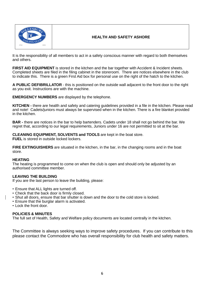

#### **HEALTH AND SAFETY ASHORE**

It is the responsibility of all members to act in a safety conscious manner with regard to both themselves and others.

**FIRST AID EQUIPMENT** is stored in the kitchen and the bar together with Accident & Incident sheets. Completed sheets are filed in the filing cabinet in the storeroom. There are notices elsewhere in the club to indicate this. There is a green First Aid box for personal use on the right of the hatch to the kitchen.

**A PUBLIC DEFIBRILLATOR** - this is positioned on the outside wall adjacent to the front door to the right as you exit. Instructions are with the machine.

**EMERGENCY NUMBERS** are displayed by the telephone.

**KITCHEN -** there are health and safety and catering guidelines provided in a file in the kitchen. Please read and note! Cadets/juniors must always be supervised when in the kitchen. There is a fire blanket provided in the kitchen.

**BAR -** there are notices in the bar to help bartenders. Cadets under 18 shall not go behind the bar. We regret that, according to our legal requirements, Juniors under 16 are not permitted to sit at the bar.

**CLEANING EQUIPMENT, SOLVENTS and TOOLS** are kept in the boat store.

**FUEL** is stored in outside locked lockers.

**FIRE EXTINGUISHERS** are situated in the kitchen, in the bar, in the changing rooms and in the boat store.

#### **HEATING**

The heating is programmed to come on when the club is open and should only be adjusted by an authorised committee member.

#### **LEAVING THE BUILDING**

If you are the last person to leave the building, please:

- Ensure that ALL lights are turned off.
- Check that the back door is firmly closed.
- Shut all doors, ensure that bar shutter is down and the door to the cold store is locked.
- Ensure that the burglar alarm is activated.
- Lock the front door.

#### **POLICIES & MINUTES**

The full set of Health, Safety and Welfare policy documents are located centrally in the kitchen.

The Committee is always seeking ways to improve safety procedures. If you can contribute to this please contact the Commodore who has overall responsibility for club health and safety matters.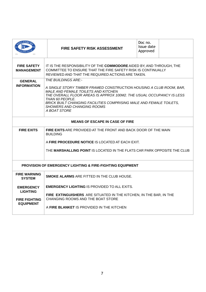| <b>FIRE SAFETY</b><br>IT IS THE RESPONSIBILITY OF THE COMMODORE AIDED BY, AND THROUGH, THE<br>COMMITTEE TO ENSURE THAT THE FIRE SAFETY RISK IS CONTINUALLY<br><b>MANAGEMENT</b><br>REVIEWED AND THAT THE REQUIRED ACTIONS ARE TAKEN.<br>THE BUILDINGS ARE:-<br><b>GENERAL</b><br><b>INFORMATION</b><br>A SINGLE STORY TIMBER FRAMED CONSTRUCTION HOUSING A CLUB ROOM, BAR,<br>MALE AND FEMALE TOILETS AND KITCHEN<br>THE OVERALL FLOOR AREAS IS APPROX 100M2. THE USUAL OCCUPANCY IS LESS<br>THAN 60 PEOPLE.<br>BRICK BUILT CHANGING FACILITIES COMPRISING MALE AND FEMALE TOILETS,<br><b>SHOWERS AND CHANGING ROOMS</b><br>A BOAT STORE<br><b>MEANS OF ESCAPE IN CASE OF FIRE</b><br><b>FIRE EXITS</b><br><b>FIRE EXITS</b> ARE PROVIDED AT THE FRONT AND BACK DOOR OF THE MAIN<br><b>BUILDING</b><br>A <b>FIRE PROCEDURE NOTICE</b> IS LOCATED AT EACH EXIT.<br>THE MARSHALLING POINT IS LOCATED IN THE FLATS CAR PARK OPPOSITE THE CLUB<br><b>PROVISION OF EMERGENCY LIGHTING &amp; FIRE-FIGHTING EQUIPMENT</b><br><b>FIRE WARNING</b><br><b>SMOKE ALARMS ARE FITTED IN THE CLUB HOUSE.</b><br><b>SYSTEM</b><br><b>EMERGENCY LIGHTING IS PROVIDED TO ALL EXITS.</b><br><b>EMERGENCY</b> |                 | <b>FIRE SAFETY RISK ASSESSMENT</b> | Doc no.<br>Issue date<br>Approved |  |
|--------------------------------------------------------------------------------------------------------------------------------------------------------------------------------------------------------------------------------------------------------------------------------------------------------------------------------------------------------------------------------------------------------------------------------------------------------------------------------------------------------------------------------------------------------------------------------------------------------------------------------------------------------------------------------------------------------------------------------------------------------------------------------------------------------------------------------------------------------------------------------------------------------------------------------------------------------------------------------------------------------------------------------------------------------------------------------------------------------------------------------------------------------------------------------------------|-----------------|------------------------------------|-----------------------------------|--|
|                                                                                                                                                                                                                                                                                                                                                                                                                                                                                                                                                                                                                                                                                                                                                                                                                                                                                                                                                                                                                                                                                                                                                                                            |                 |                                    |                                   |  |
|                                                                                                                                                                                                                                                                                                                                                                                                                                                                                                                                                                                                                                                                                                                                                                                                                                                                                                                                                                                                                                                                                                                                                                                            |                 |                                    |                                   |  |
|                                                                                                                                                                                                                                                                                                                                                                                                                                                                                                                                                                                                                                                                                                                                                                                                                                                                                                                                                                                                                                                                                                                                                                                            |                 |                                    |                                   |  |
|                                                                                                                                                                                                                                                                                                                                                                                                                                                                                                                                                                                                                                                                                                                                                                                                                                                                                                                                                                                                                                                                                                                                                                                            |                 |                                    |                                   |  |
|                                                                                                                                                                                                                                                                                                                                                                                                                                                                                                                                                                                                                                                                                                                                                                                                                                                                                                                                                                                                                                                                                                                                                                                            |                 |                                    |                                   |  |
|                                                                                                                                                                                                                                                                                                                                                                                                                                                                                                                                                                                                                                                                                                                                                                                                                                                                                                                                                                                                                                                                                                                                                                                            |                 |                                    |                                   |  |
|                                                                                                                                                                                                                                                                                                                                                                                                                                                                                                                                                                                                                                                                                                                                                                                                                                                                                                                                                                                                                                                                                                                                                                                            |                 |                                    |                                   |  |
| FIRE EXTINGUISHERS ARE SITUATED IN THE KITCHEN, IN THE BAR, IN THE<br>CHANGING ROOMS AND THE BOAT STORE<br><b>FIRE FIGHTING</b><br><b>EQUIPMENT</b><br>A FIRE BLANKET IS PROVIDED IN THE KITCHEN                                                                                                                                                                                                                                                                                                                                                                                                                                                                                                                                                                                                                                                                                                                                                                                                                                                                                                                                                                                           | <b>LIGHTING</b> |                                    |                                   |  |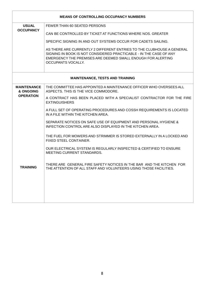|                                 | <b>MEANS OF CONTROLLING OCCUPANCY NUMBERS</b>                                                                                                                                                                                    |
|---------------------------------|----------------------------------------------------------------------------------------------------------------------------------------------------------------------------------------------------------------------------------|
| <b>USUAL</b>                    | FEWER THAN 60 SEATED PERSONS                                                                                                                                                                                                     |
| <b>OCCUPANCY</b>                | CAN BE CONTROLLED BY TICKET AT FUNCTIONS WHERE NOS. GREATER                                                                                                                                                                      |
|                                 | SPECIFIC SIGNING IN AND OUT SYSTEMS OCCUR FOR CADETS SAILING.                                                                                                                                                                    |
|                                 | AS THERE ARE CURRENTLY 2 DIFFERENT ENTRIES TO THE CLUBHOUSE A GENERAL<br>SIGNING IN BOOK IS NOT CONSIDERED PRACTICABLE - IN THE CASE OF ANY<br>EMERGENCY THE PREMISES ARE DEEMED SMALL ENOUGH FOR ALERTING<br>OCCUPANTS VOCALLY. |
|                                 | <b>MAINTENANCE, TESTS AND TRAINING</b>                                                                                                                                                                                           |
| <b>MAINTENANCE</b><br>& ONGOING | THE COMMITTEE HAS APPOINTED A MAINTENANCE OFFICER WHO OVERSEES ALL<br>ASPECTS. THIS IS THE VICE COMMODORE.                                                                                                                       |
| <b>OPERATION</b>                | A CONTRACT HAS BEEN PLACED WITH A SPECIALIST CONTRACTOR FOR THE FIRE<br><b>EXTINGUISHERS</b>                                                                                                                                     |
|                                 | A FULL SET OF OPERATING PROCEDURES AND COSSH REQUIREMENTS IS LOCATED<br>IN A FILE WITHIN THE KITCHEN AREA.                                                                                                                       |
|                                 | SEPARATE NOTICES ON SAFE USE OF EQUIPMENT AND PERSONAL HYGIENE &<br>INFECTION CONTROL ARE ALSO DISPLAYED IN THE KITCHEN AREA.                                                                                                    |
|                                 | THE FUEL FOR MOWERS AND STRIMMER IS STORED EXTERNALLY IN A LOCKED AND<br>FIXED STEEL CONTAINER.                                                                                                                                  |
|                                 | OUR ELECTRICAL SYSTEM IS REGULARLY INSPECTED & CERTIFIED TO ENSURE<br><b>MEETING CURRENT STANDARDS.</b>                                                                                                                          |
| TRAINING                        | THERE ARE GENERAL FIRE SAFETY NOTICES IN THE BAR AND THE KITCHEN FOR<br>THE ATTENTION OF ALL STAFF AND VOLUNTEERS USING THOSE FACILITIES.                                                                                        |
|                                 |                                                                                                                                                                                                                                  |
|                                 |                                                                                                                                                                                                                                  |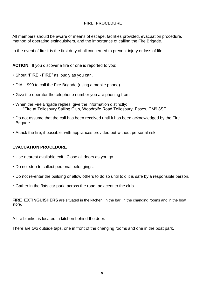#### **FIRE PROCEDURE**

All members should be aware of means of escape, facilities provided, evacuation procedure, method of operating extinguishers, and the importance of calling the Fire Brigade.

In the event of fire it is the first duty of all concerned to prevent injury or loss of life.

**ACTION**. If you discover a fire or one is reported to you:

- Shout "FIRE FIRE" as loudly as you can.
- DIAL 999 to call the Fire Brigade (using a mobile phone).
- Give the operator the telephone number you are phoning from.
- When the Fire Brigade replies, give the information distinctly: "Fire at Tollesbury Sailing Club, Woodrolfe Road,Tollesbury, Essex, CM9 8SE
- Do not assume that the call has been received until it has been acknowledged by the Fire Brigade.
- Attack the fire, if possible, with appliances provided but without personal risk.

#### **EVACUATION PROCEDURE**

- Use nearest available exit. Close all doors as you go.
- Do not stop to collect personal belongings.
- Do not re-enter the building or allow others to do so until told it is safe by a responsible person.
- Gather in the flats car park, across the road, adjacent to the club.

**FIRE EXTINGUISHERS** are situated in the kitchen, in the bar, in the changing rooms and in the boat store. .

A fire blanket is located in kitchen behind the door.

There are two outside taps, one in front of the changing rooms and one in the boat park.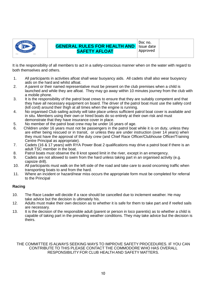

Doc no. Issue date Approved

It is the responsibility of all members to act in a safety-conscious manner when on the water with regard to both themselves and others.

- 1. All participants in activities afloat shall wear buoyancy aids. All cadets shall also wear buoyancy aids on the hard and whilst afloat.
- 2. A parent or their named representative must be present on the club premises when a child is launched and while they are afloat. They may go away within 10 minutes journey from the club with a mobile phone.
- 3. It is the responsibility of the patrol boat crews to ensure that they are suitably competent and that they have all necessary equipment on board. The driver of the patrol boat must use the safety cord (kill cord) around their thigh at all times when the engine is running.
- 4. No organised Club sailing activity will take place unless sufficient patrol boat cover is available and in situ. Members using their own or hired boats do so entirely at their own risk and must demonstrate that they have insurance cover in place.
- 5. No member of the patrol boat crew may be under 16 years of age.
- 6. Children under 16 years must not be passengers in the patrol boat while it is on duty, unless they are either being rescued or in transit, or unless they are under instruction (over 14 years) when they must have the approval of the duty crew (and Chief Race Officer/Clubhouse Officer/Training Centre Principal as appropriate).
- 7. Cadets (16 & 17 years) with RYA Power Boat 2 qualifications may drive a patrol boat if there is an adult TSC member in the boat.
- 8. Patrol boats must observe the 8 knot speed limit in the river, except in an emergency.
- 9. Cadets are not allowed to swim from the hard unless taking part in an organised activity (e.g. capsize drill).
- 10. All participants must walk on the left side of the road and take care to avoid oncoming traffic when transporting boats to and from the hard.
- 11. Where an incident or hazard/near miss occurs the appropriate form must be completed for referral to the Principal

#### **Racing**

- 10. The Race Leader will decide if a race should be cancelled due to inclement weather. He may take advice but the decision is ultimately his.
- 12. Adults must make their own decision as to whether it is safe for them to take part and if reefed sails are necessary.
- 13. It is the decision of the responsible adult (parent or person in loco parentis) as to whether a child is capable of taking part in the prevailing weather conditions. They may take advice but the decision is theirs.

THE COMMITTEE IS ALWAYS SEEKING WAYS TO IMPROVE SAFETY PROCEDURES. IF YOU CAN CONTRIBUTE TO THIS PLEASE CONTACT THE COMMODORE WHO HAS OVERALL RESPONSIBILITY FOR CLUB HEALTH AND SAFETY MATTERS.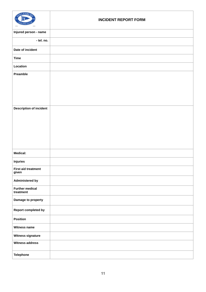| OLLESBUR<br>-ING C<br>3811<br>1955  | <b>INCIDENT REPORT FORM</b> |
|-------------------------------------|-----------------------------|
| Injured person - name               |                             |
| - tel. no.                          |                             |
| Date of incident                    |                             |
| <b>Time</b>                         |                             |
| Location                            |                             |
| Preamble                            |                             |
| <b>Description of incident</b>      |                             |
| <b>Medical:</b>                     |                             |
| <b>Injuries</b>                     |                             |
| <b>First aid treatment</b><br>given |                             |
| <b>Administered by</b>              |                             |
| <b>Further medical</b><br>treatment |                             |
| Damage to property                  |                             |
| <b>Report completed by</b>          |                             |
| <b>Position</b>                     |                             |
| Witness name                        |                             |
| Witness signature                   |                             |
| <b>Witness address</b>              |                             |
| <b>Telephone</b>                    |                             |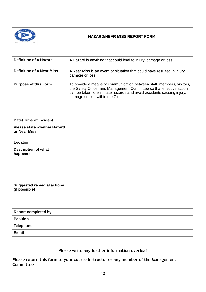

#### **HAZARD/NEAR MISS REPORT FORM**

| <b>Definition of a Hazard</b>    | A Hazard is anything that could lead to injury, damage or loss.                                                                                                                                                                                           |
|----------------------------------|-----------------------------------------------------------------------------------------------------------------------------------------------------------------------------------------------------------------------------------------------------------|
| <b>Definition of a Near Miss</b> | A Near Miss is an event or situation that could have resulted in injury,<br>damage or loss.                                                                                                                                                               |
| <b>Purpose of this Form</b>      | To provide a means of communication between staff, members, visitors,<br>the Safety Officer and Management Committee so that effective action<br>can be taken to eliminate hazards and avoid accidents causing injury,<br>damage or loss within the Club. |

| <b>Date/ Time of Incident</b>                      |  |
|----------------------------------------------------|--|
| <b>Please state whether Hazard</b><br>or Near Miss |  |
| Location                                           |  |
| <b>Description of what</b><br>happened             |  |
| <b>Suggested remedial actions</b><br>(if possible) |  |
| <b>Report completed by</b>                         |  |
| <b>Position</b>                                    |  |
| <b>Telephone</b>                                   |  |
| <b>Email</b>                                       |  |

#### **Please write any further information overleaf**

**Please return this form to your course instructor or any member of the Management Committee**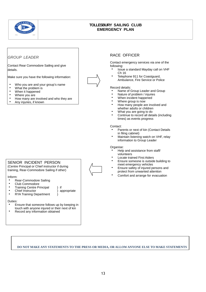

#### **TOLLESBURY SAILING CLUB EMERGENCY PLAN**

#### *GROUP LEADER*

Contact Rear Commodore Sailing and give details.

Make sure you have the following information:

- Who you are and your group's name
- What the problem is<br>• When it happened
- When it happened<br>• Where you are
- Where you are
- How many are involved and who they are
- Any injuries, if known

#### SENIOR INCIDENT PERSON

(Centre Principal or Chief instructor if during training, Rear-Commodore Sailing if other)

#### Inform:

- Rear-Commodore Sailing<br>• Club Commodore
- Club Commodore
- 
- Training Centre Principal ) if<br>• Chief Instructor () appropriate • Chief Instructor<br>•  $PVA$  Training De
- RYA Training Department )

#### Duties:

- Ensure that someone follows up by keeping in touch with anyone injured or their next of kin
- Record any information obtained

#### RACE OFFICER

Contact emergency services via one of the following:

- Issue a standard Mayday call on VHF Ch 16
- Telephone 911 for Coastguard, Ambulance, Fire Service or Police

#### Record details:

- Name of Group Leader and Group
- Nature of problem / injuries
- When incident happened
- Where group is now
- How many people are involved and whether adults or children
- What you are going to do
- Continue to record all details (including times) as events progress

#### Contact:

- Parents or next of kin (Contact Details in filing cabinet)
- Maintain listening watch on VHF, relay information to Group Leader

#### Organise:

- Help and assistance from staff/ volunteers
- Locate trained First Aiders
- Ensure someone is outside building to meet emergency vehicles
- Ensure safety of injured persons and protect from unwanted attention
- Comfort and arrange for evacuation

#### **DO NOT MAKE ANY STATEMENTS TO THE PRESS OR MEDIA, OR ALLOWANYONE ELSE TO MAKE STATEMENTS**

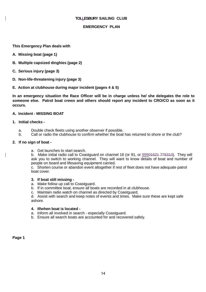#### **TOLLESBURY SAILING CLUB**

#### **EMERGENCY PLAN**

**This Emergency Plan deals with**

- **A. Missing boat (page 1)**
- **B. Multiple capsized dinghies (page 2)**
- **C. Serious injury (page 3)**
- **D. Non-life-threatening injury (page 3)**

#### **E. Action at clubhouse during major incident (pages 4 & 5)**

**In an emergency situation the Race Officer will be in charge unless he/ she delegates the role to someone else. Patrol boat crews and others should report any incident to CRO/CO as soon as it occurs.**

#### **A. Incident - MISSING BOAT**

#### **1. Initial checks -**

- a. Double check fleets using another observer if possible.
- b. Call or radio the clubhouse to confirm whether the boat has returned to shore or the club?

#### **2. If no sign of boat -**

a. Get launches to start search.

b. Make initial radio call to Coastguard on channel 16 (or 91, or 99901621 776310). They will ask you to switch to working channel. They will want to know details of boat and number of people on board and lifesaving equipment carried.

c. Shorten course or abandon event altogether if rest of fleet does not have adequate patrol boat cover.

#### **3. If boat still missing -**

- a. Make follow up call to Coastguard.
- b. If in committee boat, ensure all boats are recorded in at clubhouse.
- c. Maintain radio watch on channel as directed by Coastguard.

d. Assist with search and keep notes of events and times. Make sure these are kept safe ashore.

#### **4. If/when boat is located -**

- a. Inform all involved in search especially Coastguard.
- b. Ensure all search boats are accounted for and recovered safely.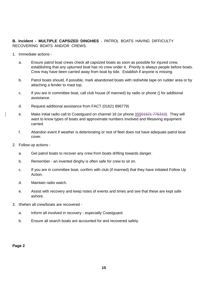**B. Incident - MULTIPLE CAPSIZED DINGHIES** - PATROL BOATS HAVING DIFFICULTY RECOVERING BOATS AND/OR CREWS.

- 1. Immediate actions
	- a. Ensure patrol boat crews check all capsized boats as soon as possible for injured crew, establishing that any upturned boat has no crew under it. Priority is always people before boats. Crew may have been carried away from boat by tide. Establish if anyone is missing.
	- b. Patrol boats should, if possible, mark abandoned boats with red/white tape on rudder area or by attaching a fender to mast top.
	- c. If you are in committee boat, call club house (if manned) by radio or phone () for additional assistance.
	- d. Request additional assistance from FACT (01621 896779)
	- e. Make initial radio call to Coastguard on channel 16 (or phone 99901621 776310). They will want to know types of boats and approximate numbers involved and lifesaving equipment carried.
	- f. Abandon event if weather is deteriorating or rest of fleet does not have adequate patrol boat cover.
- 2. Follow up actions
	- a. Get patrol boats to recover any crew from boats drifting towards danger.
	- b. Remember an inverted dinghy is often safe for crew to sit on.
	- c. If you are in committee boat, confirm with club (if manned) that they have initiated Follow Up Action.
	- d. Maintain radio watch.
	- e. Assist with recovery and keep notes of events and times and see that these are kept safe ashore.
- 3. If/when all crew/boats are recovered
	- a. Inform all involved in recovery especially Coastguard.
	- b. Ensure all search boats are accounted for and recovered safely.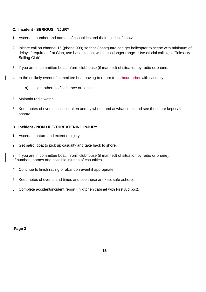#### **C. Incident - SERIOUS INJURY**

- 1. Ascertain number and names of casualties and their injuries if known.
- 2. Initiate call on channel 16 (phone 999) so that Coastguard can get helicopter to scene with minimum of delay, if required. If at Club, use base station, which has longer range. Use official call sign: "Tollesbury Sailing Club".
- 3. If you are in committee boat, inform clubhouse (if manned) of situation by radio or phone.
- 4. In the unlikely event of committee boat having to return to harbourharbor with casualty:
	- a) get others to finish race or cancel,
- 5. Maintain radio watch.
- 6. Keep notes of events, actions taken and by whom, and at what times and see these are kept safe ashore.

#### **D. Incident - NON LIFE-THREATENING INJURY**

- 1. Ascertain nature and extent of injury.
- 2. Get patrol boat to pick up casualty and take back to shore.

3. If you are in committee boat, inform clubhouse (if manned) of situation by radio or phone of number, names and possible injuries of casualties.

- 4. Continue to finish racing or abandon event if appropriate.
- 5. Keep notes of events and times and see these are kept safe ashore.
- 6. Complete accident/incident report (in kitchen cabinet with First Aid box).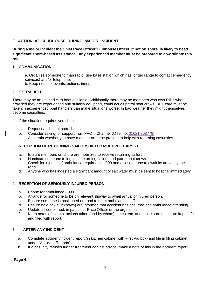#### **E. ACTION AT CLUBHOUSE DURING MAJOR INCIDENT**

**During a major incident the Chief Race Officer/Clubhouse Officer, if not on shore, is likely to need significant shore-based assistance. Any experienced member must be prepared to co-ordinate this role.**

#### **1. COMMUNICATION**

a. Organise someone to man radio (use base station which has longer range to contact emergency services) and/or telephone.

b. Keep notes of events, actions, times.

#### **2. EXTRA HELP**

There may be an unused club boat available. Additionally there may be members who own RIBs who, provided they are experienced and suitably equipped, could act as patrol boat crews. BUT care must be taken: inexperienced boat handlers can make situations worse. In bad weather they might themselves become casualties.

If the situation requires you should:

- a. Request additional patrol boats.
- b. Consider asking for support from FACT, Channel 6. (Tel no. 01621 868779).
- c. Ascertain whether you have a doctor or nurse present to help with returning casualties.

#### **3. RECEPTION OF RETURNING SAILORS AFTER MULTIPLE CAPSIZE**

- a. Ensure members on shore are mobilized to receive returning sailors.
- b. Nominate someone to log in all returning sailors and patrol boat crews.
- c. Check for injuries. If ambulance required dial **999** and ask someone to await its arrival by the road.
- d. Anyone who has ingested a significant amount of salt water must be sent to hospital immediately.

#### **4. RECEPTION OF SERIOUSLY INJURED PERSON**

- a. Phone for ambulance 999.
- b. Arrange for someone to be on relevant slipway to await arrival of injured person.
- c. Ensure someone is positioned on road to meet ambulance staff.
- d. Ensure next of kin (if known) are informed that accident has occurred and ambulance attending.
- e. Update all concerned, in particular Race Officer or the organiser.
- f. Keep notes of events, actions taken (and by whom), times, etc. and make sure these are kept safe and filed with report.

#### **5. AFTER ANY INCIDENT**

- a. Complete accident/incident report (in kitchen cabinet with First Aid box) and file in filing cabinet under "Accident Reports".
- b. If a casualty refuses further treatment against advice, make a note of this in the accident report.